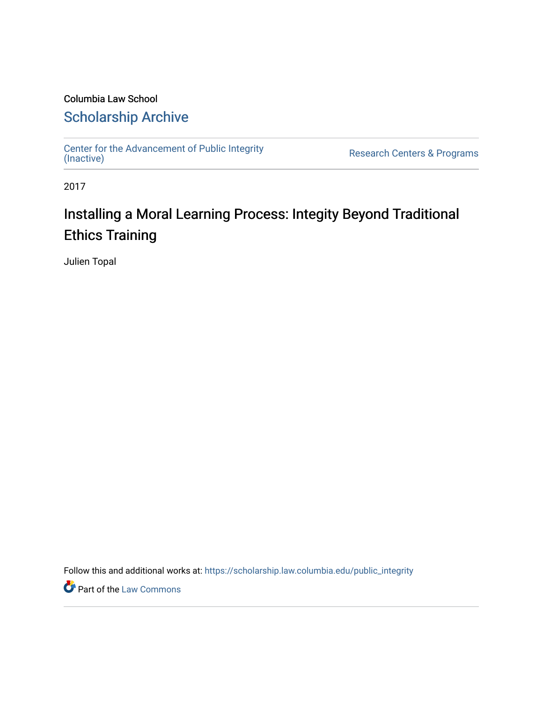### Columbia Law School [Scholarship Archive](https://scholarship.law.columbia.edu/)

[Center for the Advancement of Public Integrity](https://scholarship.law.columbia.edu/public_integrity)<br>(Inactive)

Research Centers & Programs

2017

## Installing a Moral Learning Process: Integity Beyond Traditional Ethics Training

Julien Topal

Follow this and additional works at: [https://scholarship.law.columbia.edu/public\\_integrity](https://scholarship.law.columbia.edu/public_integrity?utm_source=scholarship.law.columbia.edu%2Fpublic_integrity%2F47&utm_medium=PDF&utm_campaign=PDFCoverPages)

**Part of the [Law Commons](http://network.bepress.com/hgg/discipline/578?utm_source=scholarship.law.columbia.edu%2Fpublic_integrity%2F47&utm_medium=PDF&utm_campaign=PDFCoverPages)**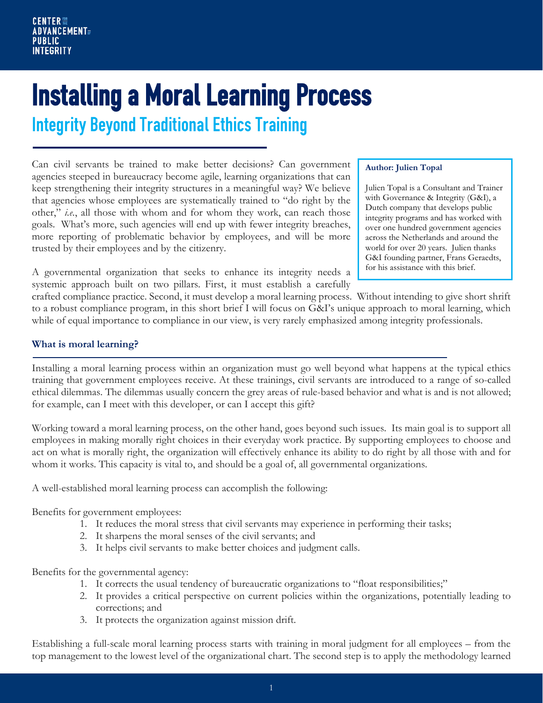# **Installing a Moral Learning Process**<br>Integrity Beyond Traditional Ethics Training

Can civil servants be trained to make better decisions? Can government agencies steeped in bureaucracy become agile, learning organizations that can keep strengthening their integrity structures in a meaningful way? We believe that agencies whose employees are systematically trained to "do right by the other," *i.e.*, all those with whom and for whom they work, can reach those goals. What's more, such agencies will end up with fewer integrity breaches, more reporting of problematic behavior by employees, and will be more trusted by their employees and by the citizenry.

A governmental organization that seeks to enhance its integrity needs a systemic approach built on two pillars. First, it must establish a carefully

#### **Author: Julien Topal**

Julien Topal is a Consultant and Trainer with Governance & Integrity (G&I), a Dutch company that develops public integrity programs and has worked with over one hundred government agencies across the Netherlands and around the world for over 20 years. Julien thanks G&I founding partner, Frans Geraedts, for his assistance with this brief.

crafted compliance practice. Second, it must develop a moral learning process. Without intending to give short shrift to a robust compliance program, in this short brief I will focus on G&I's unique approach to moral learning, which while of equal importance to compliance in our view, is very rarely emphasized among integrity professionals.

#### **What is moral learning?**

Installing a moral learning process within an organization must go well beyond what happens at the typical ethics training that government employees receive. At these trainings, civil servants are introduced to a range of so-called ethical dilemmas. The dilemmas usually concern the grey areas of rule-based behavior and what is and is not allowed; for example, can I meet with this developer, or can I accept this gift?

Working toward a moral learning process, on the other hand, goes beyond such issues. Its main goal is to support all employees in making morally right choices in their everyday work practice. By supporting employees to choose and act on what is morally right, the organization will effectively enhance its ability to do right by all those with and for whom it works. This capacity is vital to, and should be a goal of, all governmental organizations.

A well-established moral learning process can accomplish the following:

Benefits for government employees:

- 1. It reduces the moral stress that civil servants may experience in performing their tasks;
- 2. It sharpens the moral senses of the civil servants; and
- 3. It helps civil servants to make better choices and judgment calls.

Benefits for the governmental agency:

- 1. It corrects the usual tendency of bureaucratic organizations to "float responsibilities;"
- 2. It provides a critical perspective on current policies within the organizations, potentially leading to corrections; and
- 3. It protects the organization against mission drift.

Establishing a full-scale moral learning process starts with training in moral judgment for all employees – from the top management to the lowest level of the organizational chart. The second step is to apply the methodology learned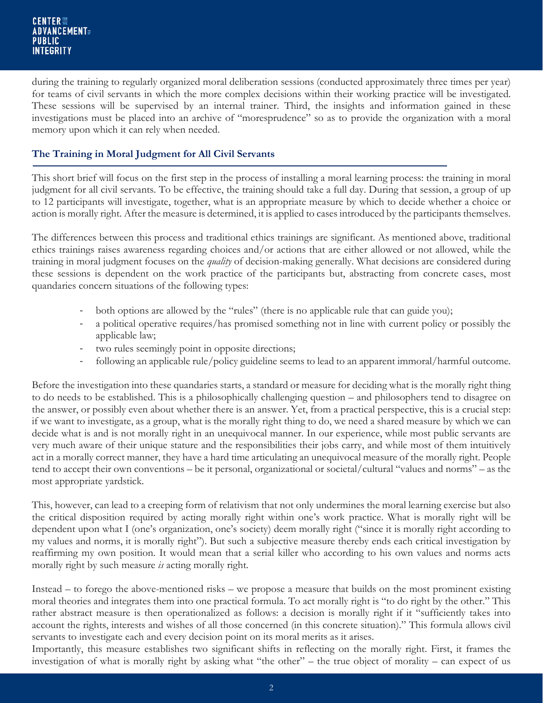during the training to regularly organized moral deliberation sessions (conducted approximately three times per year) for teams of civil servants in which the more complex decisions within their working practice will be investigated. These sessions will be supervised by an internal trainer. Third, the insights and information gained in these investigations must be placed into an archive of "moresprudence" so as to provide the organization with a moral memory upon which it can rely when needed.

#### **The Training in Moral Judgment for All Civil Servants**

This short brief will focus on the first step in the process of installing a moral learning process: the training in moral judgment for all civil servants. To be effective, the training should take a full day. During that session, a group of up to 12 participants will investigate, together, what is an appropriate measure by which to decide whether a choice or action is morally right. After the measure is determined, it is applied to cases introduced by the participants themselves.

The differences between this process and traditional ethics trainings are significant. As mentioned above, traditional ethics trainings raises awareness regarding choices and/or actions that are either allowed or not allowed, while the training in moral judgment focuses on the *quality* of decision-making generally. What decisions are considered during these sessions is dependent on the work practice of the participants but, abstracting from concrete cases, most quandaries concern situations of the following types:

- both options are allowed by the "rules" (there is no applicable rule that can guide you);
- a political operative requires/has promised something not in line with current policy or possibly the applicable law;
- two rules seemingly point in opposite directions;
- following an applicable rule/policy guideline seems to lead to an apparent immoral/harmful outcome.

Before the investigation into these quandaries starts, a standard or measure for deciding what is the morally right thing to do needs to be established. This is a philosophically challenging question – and philosophers tend to disagree on the answer, or possibly even about whether there is an answer. Yet, from a practical perspective, this is a crucial step: if we want to investigate, as a group, what is the morally right thing to do, we need a shared measure by which we can decide what is and is not morally right in an unequivocal manner. In our experience, while most public servants are very much aware of their unique stature and the responsibilities their jobs carry, and while most of them intuitively act in a morally correct manner, they have a hard time articulating an unequivocal measure of the morally right. People tend to accept their own conventions – be it personal, organizational or societal/cultural "values and norms" – as the most appropriate yardstick.

This, however, can lead to a creeping form of relativism that not only undermines the moral learning exercise but also the critical disposition required by acting morally right within one's work practice. What is morally right will be dependent upon what I (one's organization, one's society) deem morally right ("since it is morally right according to my values and norms, it is morally right"). But such a subjective measure thereby ends each critical investigation by reaffirming my own position. It would mean that a serial killer who according to his own values and norms acts morally right by such measure *is* acting morally right.

Instead – to forego the above-mentioned risks – we propose a measure that builds on the most prominent existing moral theories and integrates them into one practical formula. To act morally right is "to do right by the other." This rather abstract measure is then operationalized as follows: a decision is morally right if it "sufficiently takes into account the rights, interests and wishes of all those concerned (in this concrete situation)." This formula allows civil servants to investigate each and every decision point on its moral merits as it arises.

Importantly, this measure establishes two significant shifts in reflecting on the morally right. First, it frames the investigation of what is morally right by asking what "the other" – the true object of morality – can expect of us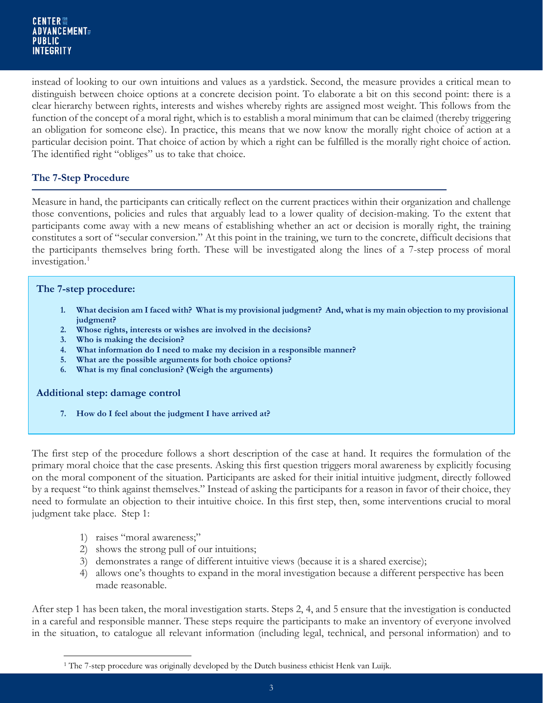instead of looking to our own intuitions and values as a yardstick. Second, the measure provides a critical mean to distinguish between choice options at a concrete decision point. To elaborate a bit on this second point: there is a clear hierarchy between rights, interests and wishes whereby rights are assigned most weight. This follows from the function of the concept of a moral right, which is to establish a moral minimum that can be claimed (thereby triggering an obligation for someone else). In practice, this means that we now know the morally right choice of action at a particular decision point. That choice of action by which a right can be fulfilled is the morally right choice of action. The identified right "obliges" us to take that choice.

#### **The 7-Step Procedure**

Measure in hand, the participants can critically reflect on the current practices within their organization and challenge those conventions, policies and rules that arguably lead to a lower quality of decision-making. To the extent that participants come away with a new means of establishing whether an act or decision is morally right, the training constitutes a sort of "secular conversion." At this point in the training, we turn to the concrete, difficult decisions that the participants themselves bring forth. These will be investigated along the lines of a 7-step process of moral investigation.<sup>[1](#page-3-0)</sup>

#### **The 7-step procedure:**

- **1. What decision am I faced with? What is my provisional judgment? And, what is my main objection to my provisional judgment?**
- **2. Whose rights, interests or wishes are involved in the decisions?**
- **3. Who is making the decision?**
- **4. What information do I need to make my decision in a responsible manner?**
- **5. What are the possible arguments for both choice options?**
- **6. What is my final conclusion? (Weigh the arguments)**

#### **Additional step: damage control**

**7. How do I feel about the judgment I have arrived at?** 

The first step of the procedure follows a short description of the case at hand. It requires the formulation of the primary moral choice that the case presents. Asking this first question triggers moral awareness by explicitly focusing on the moral component of the situation. Participants are asked for their initial intuitive judgment, directly followed by a request "to think against themselves." Instead of asking the participants for a reason in favor of their choice, they need to formulate an objection to their intuitive choice. In this first step, then, some interventions crucial to moral judgment take place. Step 1:

- 1) raises "moral awareness;"
- 2) shows the strong pull of our intuitions;
- 3) demonstrates a range of different intuitive views (because it is a shared exercise);
- 4) allows one's thoughts to expand in the moral investigation because a different perspective has been made reasonable.

After step 1 has been taken, the moral investigation starts. Steps 2, 4, and 5 ensure that the investigation is conducted in a careful and responsible manner. These steps require the participants to make an inventory of everyone involved in the situation, to catalogue all relevant information (including legal, technical, and personal information) and to

<span id="page-3-0"></span> $\overline{a}$ <sup>1</sup> The 7-step procedure was originally developed by the Dutch business ethicist Henk van Luijk.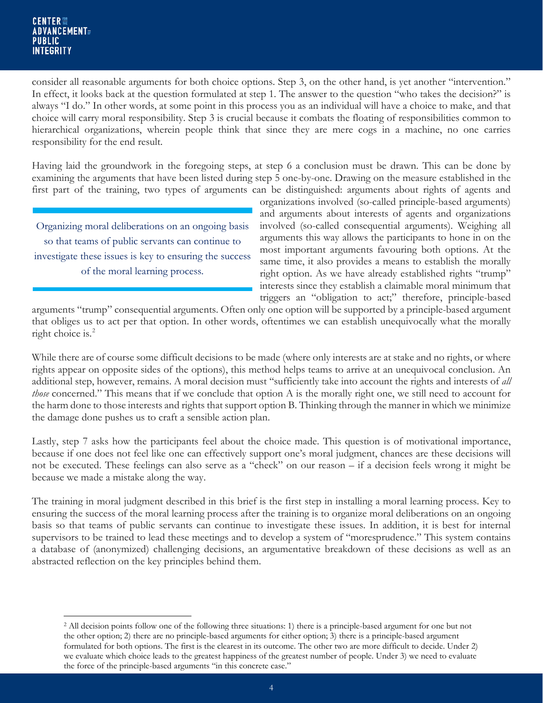consider all reasonable arguments for both choice options. Step 3, on the other hand, is yet another "intervention." In effect, it looks back at the question formulated at step 1. The answer to the question "who takes the decision?" is always "I do." In other words, at some point in this process you as an individual will have a choice to make, and that choice will carry moral responsibility. Step 3 is crucial because it combats the floating of responsibilities common to hierarchical organizations, wherein people think that since they are mere cogs in a machine, no one carries responsibility for the end result.

Having laid the groundwork in the foregoing steps, at step 6 a conclusion must be drawn. This can be done by examining the arguments that have been listed during step 5 one-by-one. Drawing on the measure established in the first part of the training, two types of arguments can be distinguished: arguments about rights of agents and

Organizing moral deliberations on an ongoing basis so that teams of public servants can continue to investigate these issues is key to ensuring the success of the moral learning process.

organizations involved (so-called principle-based arguments) and arguments about interests of agents and organizations involved (so-called consequential arguments). Weighing all arguments this way allows the participants to hone in on the most important arguments favouring both options. At the same time, it also provides a means to establish the morally right option. As we have already established rights "trump" interests since they establish a claimable moral minimum that triggers an "obligation to act;" therefore, principle-based

arguments "trump" consequential arguments. Often only one option will be supported by a principle-based argument that obliges us to act per that option. In other words, oftentimes we can establish unequivocally what the morally right choice is. $2$ 

While there are of course some difficult decisions to be made (where only interests are at stake and no rights, or where rights appear on opposite sides of the options), this method helps teams to arrive at an unequivocal conclusion. An additional step, however, remains. A moral decision must ''sufficiently take into account the rights and interests of *all those* concerned." This means that if we conclude that option A is the morally right one, we still need to account for the harm done to those interests and rights that support option B. Thinking through the manner in which we minimize the damage done pushes us to craft a sensible action plan.

Lastly, step 7 asks how the participants feel about the choice made. This question is of motivational importance, because if one does not feel like one can effectively support one's moral judgment, chances are these decisions will not be executed. These feelings can also serve as a "check" on our reason – if a decision feels wrong it might be because we made a mistake along the way.

The training in moral judgment described in this brief is the first step in installing a moral learning process. Key to ensuring the success of the moral learning process after the training is to organize moral deliberations on an ongoing basis so that teams of public servants can continue to investigate these issues. In addition, it is best for internal supervisors to be trained to lead these meetings and to develop a system of "moresprudence." This system contains a database of (anonymized) challenging decisions, an argumentative breakdown of these decisions as well as an abstracted reflection on the key principles behind them.

<span id="page-4-0"></span> $\overline{a}$ <sup>2</sup> All decision points follow one of the following three situations: 1) there is a principle-based argument for one but not the other option; 2) there are no principle-based arguments for either option; 3) there is a principle-based argument formulated for both options. The first is the clearest in its outcome. The other two are more difficult to decide. Under 2) we evaluate which choice leads to the greatest happiness of the greatest number of people. Under 3) we need to evaluate the force of the principle-based arguments "in this concrete case."